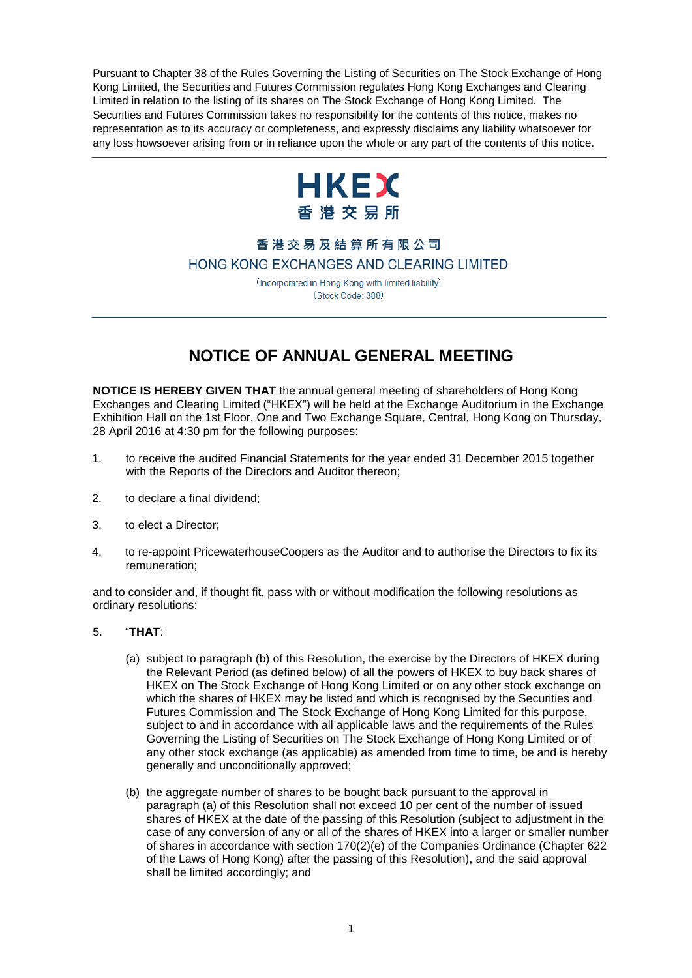Pursuant to Chapter 38 of the Rules Governing the Listing of Securities on The Stock Exchange of Hong Kong Limited, the Securities and Futures Commission regulates Hong Kong Exchanges and Clearing Limited in relation to the listing of its shares on The Stock Exchange of Hong Kong Limited. The Securities and Futures Commission takes no responsibility for the contents of this notice, makes no representation as to its accuracy or completeness, and expressly disclaims any liability whatsoever for any loss howsoever arising from or in reliance upon the whole or any part of the contents of this notice.



## 香港交易及結算所有限公司 HONG KONG EXCHANGES AND CLEARING LIMITED

(Incorporated in Hong Kong with limited liability) (Stock Code: 388)

## **NOTICE OF ANNUAL GENERAL MEETING**

**NOTICE IS HEREBY GIVEN THAT** the annual general meeting of shareholders of Hong Kong Exchanges and Clearing Limited ("HKEX") will be held at the Exchange Auditorium in the Exchange Exhibition Hall on the 1st Floor, One and Two Exchange Square, Central, Hong Kong on Thursday, 28 April 2016 at 4:30 pm for the following purposes:

- 1. to receive the audited Financial Statements for the year ended 31 December 2015 together with the Reports of the Directors and Auditor thereon;
- 2. to declare a final dividend;
- 3. to elect a Director;
- 4. to re-appoint PricewaterhouseCoopers as the Auditor and to authorise the Directors to fix its remuneration;

and to consider and, if thought fit, pass with or without modification the following resolutions as ordinary resolutions:

- 5. "**THAT**:
	- (a) subject to paragraph (b) of this Resolution, the exercise by the Directors of HKEX during the Relevant Period (as defined below) of all the powers of HKEX to buy back shares of HKEX on The Stock Exchange of Hong Kong Limited or on any other stock exchange on which the shares of HKEX may be listed and which is recognised by the Securities and Futures Commission and The Stock Exchange of Hong Kong Limited for this purpose, subject to and in accordance with all applicable laws and the requirements of the Rules Governing the Listing of Securities on The Stock Exchange of Hong Kong Limited or of any other stock exchange (as applicable) as amended from time to time, be and is hereby generally and unconditionally approved;
	- (b) the aggregate number of shares to be bought back pursuant to the approval in paragraph (a) of this Resolution shall not exceed 10 per cent of the number of issued shares of HKEX at the date of the passing of this Resolution (subject to adjustment in the case of any conversion of any or all of the shares of HKEX into a larger or smaller number of shares in accordance with section 170(2)(e) of the Companies Ordinance (Chapter 622 of the Laws of Hong Kong) after the passing of this Resolution), and the said approval shall be limited accordingly; and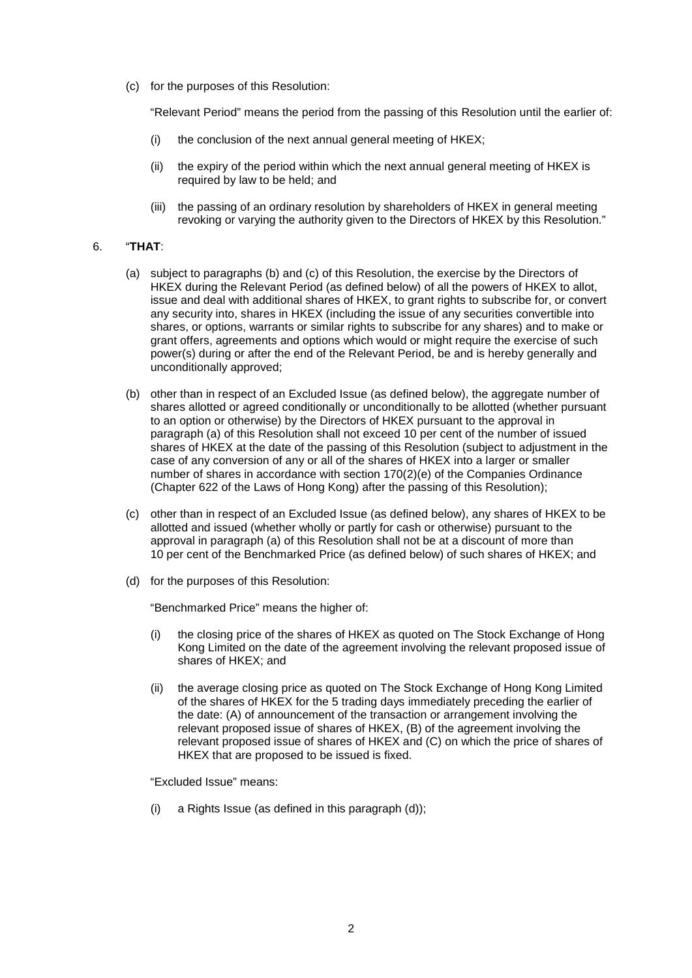(c) for the purposes of this Resolution:

"Relevant Period" means the period from the passing of this Resolution until the earlier of:

- (i) the conclusion of the next annual general meeting of HKEX;
- (ii) the expiry of the period within which the next annual general meeting of HKEX is required by law to be held; and
- (iii) the passing of an ordinary resolution by shareholders of HKEX in general meeting revoking or varying the authority given to the Directors of HKEX by this Resolution."

## 6. "**THAT**:

- (a) subject to paragraphs (b) and (c) of this Resolution, the exercise by the Directors of HKEX during the Relevant Period (as defined below) of all the powers of HKEX to allot, issue and deal with additional shares of HKEX, to grant rights to subscribe for, or convert any security into, shares in HKEX (including the issue of any securities convertible into shares, or options, warrants or similar rights to subscribe for any shares) and to make or grant offers, agreements and options which would or might require the exercise of such power(s) during or after the end of the Relevant Period, be and is hereby generally and unconditionally approved;
- (b) other than in respect of an Excluded Issue (as defined below), the aggregate number of shares allotted or agreed conditionally or unconditionally to be allotted (whether pursuant to an option or otherwise) by the Directors of HKEX pursuant to the approval in paragraph (a) of this Resolution shall not exceed 10 per cent of the number of issued shares of HKEX at the date of the passing of this Resolution (subject to adjustment in the case of any conversion of any or all of the shares of HKEX into a larger or smaller number of shares in accordance with section 170(2)(e) of the Companies Ordinance (Chapter 622 of the Laws of Hong Kong) after the passing of this Resolution);
- (c) other than in respect of an Excluded Issue (as defined below), any shares of HKEX to be allotted and issued (whether wholly or partly for cash or otherwise) pursuant to the approval in paragraph (a) of this Resolution shall not be at a discount of more than 10 per cent of the Benchmarked Price (as defined below) of such shares of HKEX; and
- (d) for the purposes of this Resolution:

"Benchmarked Price" means the higher of:

- (i) the closing price of the shares of HKEX as quoted on The Stock Exchange of Hong Kong Limited on the date of the agreement involving the relevant proposed issue of shares of HKEX; and
- (ii) the average closing price as quoted on The Stock Exchange of Hong Kong Limited of the shares of HKEX for the 5 trading days immediately preceding the earlier of the date: (A) of announcement of the transaction or arrangement involving the relevant proposed issue of shares of HKEX, (B) of the agreement involving the relevant proposed issue of shares of HKEX and (C) on which the price of shares of HKEX that are proposed to be issued is fixed.

"Excluded Issue" means:

(i) a Rights Issue (as defined in this paragraph (d));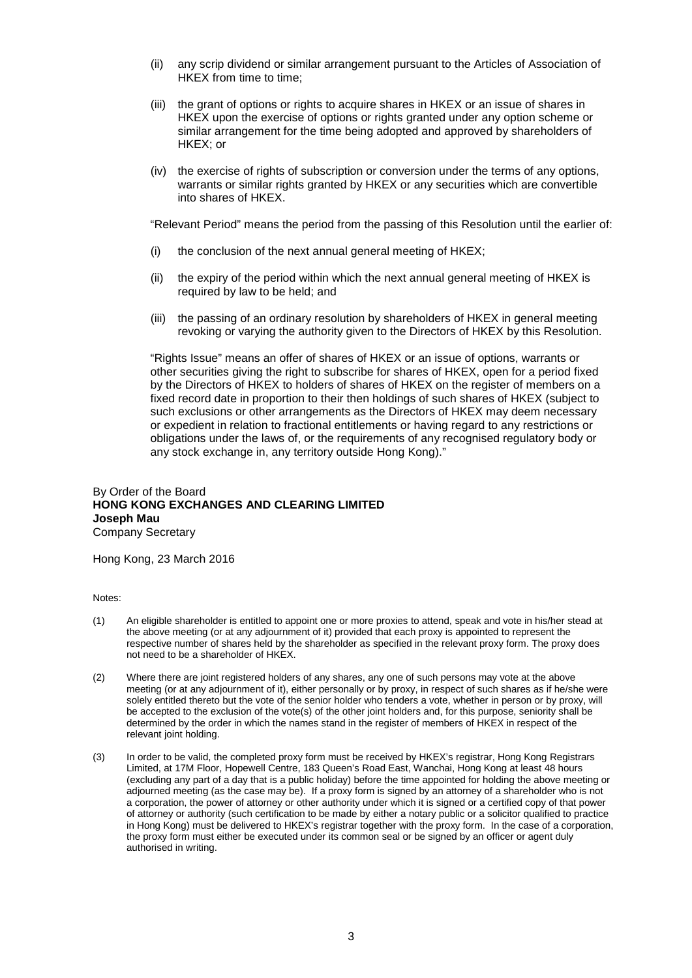- (ii) any scrip dividend or similar arrangement pursuant to the Articles of Association of HKEX from time to time;
- (iii) the grant of options or rights to acquire shares in HKEX or an issue of shares in HKEX upon the exercise of options or rights granted under any option scheme or similar arrangement for the time being adopted and approved by shareholders of HKEX; or
- (iv) the exercise of rights of subscription or conversion under the terms of any options, warrants or similar rights granted by HKEX or any securities which are convertible into shares of HKEX.

"Relevant Period" means the period from the passing of this Resolution until the earlier of:

- (i) the conclusion of the next annual general meeting of HKEX;
- (ii) the expiry of the period within which the next annual general meeting of HKEX is required by law to be held; and
- (iii) the passing of an ordinary resolution by shareholders of HKEX in general meeting revoking or varying the authority given to the Directors of HKEX by this Resolution.

"Rights Issue" means an offer of shares of HKEX or an issue of options, warrants or other securities giving the right to subscribe for shares of HKEX, open for a period fixed by the Directors of HKEX to holders of shares of HKEX on the register of members on a fixed record date in proportion to their then holdings of such shares of HKEX (subject to such exclusions or other arrangements as the Directors of HKEX may deem necessary or expedient in relation to fractional entitlements or having regard to any restrictions or obligations under the laws of, or the requirements of any recognised regulatory body or any stock exchange in, any territory outside Hong Kong)."

## By Order of the Board **HONG KONG EXCHANGES AND CLEARING LIMITED Joseph Mau** Company Secretary

Hong Kong, 23 March 2016

Notes:

- (1) An eligible shareholder is entitled to appoint one or more proxies to attend, speak and vote in his/her stead at the above meeting (or at any adjournment of it) provided that each proxy is appointed to represent the respective number of shares held by the shareholder as specified in the relevant proxy form. The proxy does not need to be a shareholder of HKEX.
- (2) Where there are joint registered holders of any shares, any one of such persons may vote at the above meeting (or at any adjournment of it), either personally or by proxy, in respect of such shares as if he/she were solely entitled thereto but the vote of the senior holder who tenders a vote, whether in person or by proxy, will be accepted to the exclusion of the vote(s) of the other joint holders and, for this purpose, seniority shall be determined by the order in which the names stand in the register of members of HKEX in respect of the relevant joint holding.
- (3) In order to be valid, the completed proxy form must be received by HKEX's registrar, Hong Kong Registrars Limited, at 17M Floor, Hopewell Centre, 183 Queen's Road East, Wanchai, Hong Kong at least 48 hours (excluding any part of a day that is a public holiday) before the time appointed for holding the above meeting or adjourned meeting (as the case may be). If a proxy form is signed by an attorney of a shareholder who is not a corporation, the power of attorney or other authority under which it is signed or a certified copy of that power of attorney or authority (such certification to be made by either a notary public or a solicitor qualified to practice in Hong Kong) must be delivered to HKEX's registrar together with the proxy form. In the case of a corporation, the proxy form must either be executed under its common seal or be signed by an officer or agent duly authorised in writing.